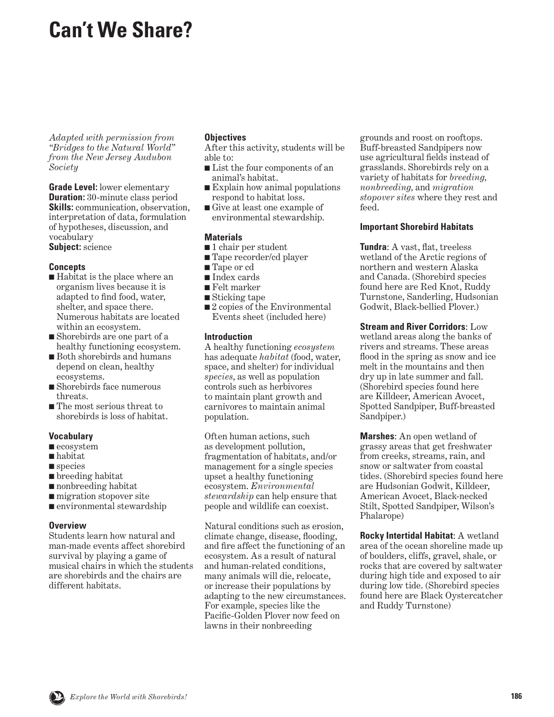# <span id="page-0-0"></span>**Can't We Share?**

*Adapted with permission from "Bridges to the Natural World" from the New Jersey Audubon Society*

**Grade Level:** lower elementary **Duration:** 30-minute class period **Skills:** communication, observation, interpretation of data, formulation of hypotheses, discussion, and vocabulary **Subject:** science

### **Concepts**

- Habitat is the place where an organism lives because it is adapted to find food, water, shelter, and space there. Numerous habitats are located within an ecosystem.
- Shorebirds are one part of a healthy functioning ecosystem.
- Both shorebirds and humans depend on clean, healthy ecosystems.
- Shorebirds face numerous threats.
- The most serious threat to shorebirds is loss of habitat.

### **Vocabulary**

- ecosystem
- habitat
- species
- breeding habitat
- nonbreeding habitat
- migration stopover site
- environmental stewardship

#### **Overview**

Students learn how natural and man-made events affect shorebird survival by playing a game of musical chairs in which the students are shorebirds and the chairs are different habitats.

### **Objectives**

After this activity, students will be able to:

- List the four components of an animal's habitat.
- Explain how animal populations respond to habitat loss.
- Give at least one example of environmental stewardship.

### **Materials**

- 1 chair per student
- Tape recorder/cd player
- Tape or cd
- Index cards
- Felt marker
- Sticking tape
- 2 copies of the Environmental Events sheet (included here)

### **Introduction**

A healthy functioning *ecosystem*  has adequate *habitat* (food, water, space, and shelter) for individual *species*, as well as population controls such as herbivores to maintain plant growth and carnivores to maintain animal population.

Often human actions, such as development pollution, fragmentation of habitats, and/or management for a single species upset a healthy functioning ecosystem. *Environmental stewardship* can help ensure that people and wildlife can coexist.

Natural conditions such as erosion, climate change, disease, flooding, and fire affect the functioning of an ecosystem. As a result of natural and human-related conditions, many animals will die, relocate, or increase their populations by adapting to the new circumstances. For example, species like the Pacific-Golden Plover now feed on lawns in their nonbreeding

grounds and roost on rooftops. Buff-breasted Sandpipers now use agricultural fields instead of grasslands. Shorebirds rely on a variety of habitats for *breeding, nonbreeding,* and *migration stopover sites* where they rest and feed.

### **Important Shorebird Habitats**

**Tundra**: A vast, flat, treeless wetland of the Arctic regions of northern and western Alaska and Canada. (Shorebird species found here are Red Knot, Ruddy Turnstone, Sanderling, Hudsonian Godwit, Black-bellied Plover.)

**Stream and River Corridors**: Low wetland areas along the banks of rivers and streams. These areas flood in the spring as snow and ice melt in the mountains and then dry up in late summer and fall. (Shorebird species found here are Killdeer, American Avocet, Spotted Sandpiper, Buff-breasted Sandpiper.)

**Marshes**: An open wetland of grassy areas that get freshwater from creeks, streams, rain, and snow or saltwater from coastal tides. (Shorebird species found here are Hudsonian Godwit, Killdeer, American Avocet, Black-necked Stilt, Spotted Sandpiper, Wilson's Phalarope)

**Rocky Intertidal Habitat**: A wetland area of the ocean shoreline made up of boulders, cliffs, gravel, shale, or rocks that are covered by saltwater during high tide and exposed to air during low tide. (Shorebird species found here are Black Oystercatcher and Ruddy Turnstone)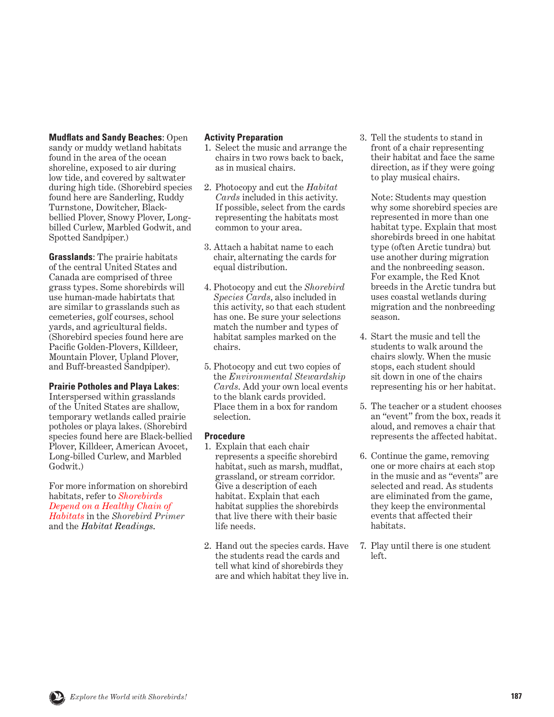#### **Mudflats and Sandy Beaches**: Open

sandy or muddy wetland habitats found in the area of the ocean shoreline, exposed to air during low tide, and covered by saltwater during high tide. (Shorebird species found here are Sanderling, Ruddy Turnstone, Dowitcher, Blackbellied Plover, Snowy Plover, Longbilled Curlew, Marbled Godwit, and Spotted Sandpiper.)

**Grasslands**: The prairie habitats of the central United States and Canada are comprised of three grass types. Some shorebirds will use human-made habirtats that are similar to grasslands such as cemeteries, golf courses, school yards, and agricultural fields. (Shorebird species found here are Pacific Golden-Plovers, Killdeer, Mountain Plover, Upland Plover, and Buff-breasted Sandpiper).

### **Prairie Potholes and Playa Lakes**:

Interspersed within grasslands of the United States are shallow, temporary wetlands called prairie potholes or playa lakes. (Shorebird species found here are Black-bellied Plover, Killdeer, American Avocet, Long-billed Curlew, and Marbled Godwit.)

For more information on shorebird habitats, refer to *Shorebirds [Depend on a Healthy Chain of](#page-9-0) Habitats* in the *Shorebird Primer* and the *Habitat Readings*.

### **Activity Preparation**

- 1. Select the music and arrange the chairs in two rows back to back, as in musical chairs.
- 2. Photocopy and cut the *Habitat Cards* included in this activity. If possible, select from the cards representing the habitats most common to your area.
- 3. Attach a habitat name to each chair, alternating the cards for equal distribution.
- 4. Photocopy and cut the *Shorebird Species Cards*, also included in this activity, so that each student has one. Be sure your selections match the number and types of habitat samples marked on the chairs.
- 5. Photocopy and cut two copies of the *Environmental Stewardship Cards*. Add your own local events to the blank cards provided. Place them in a box for random selection.

### **Procedure**

- 1. Explain that each chair represents a specific shorebird habitat, such as marsh, mudflat, grassland, or stream corridor. Give a description of each habitat. Explain that each habitat supplies the shorebirds that live there with their basic life needs.
- 2. Hand out the species cards. Have the students read the cards and tell what kind of shorebirds they are and which habitat they live in.

3. Tell the students to stand in front of a chair representing their habitat and face the same direction, as if they were going to play musical chairs.

 Note: Students may question why some shorebird species are represented in more than one habitat type. Explain that most shorebirds breed in one habitat type (often Arctic tundra) but use another during migration and the nonbreeding season. For example, the Red Knot breeds in the Arctic tundra but uses coastal wetlands during migration and the nonbreeding season.

- 4. Start the music and tell the students to walk around the chairs slowly. When the music stops, each student should sit down in one of the chairs representing his or her habitat.
- 5. The teacher or a student chooses an "event" from the box, reads it aloud, and removes a chair that represents the affected habitat.
- 6. Continue the game, removing one or more chairs at each stop in the music and as "events" are selected and read. As students are eliminated from the game, they keep the environmental events that affected their habitats.
- 7. Play until there is one student left.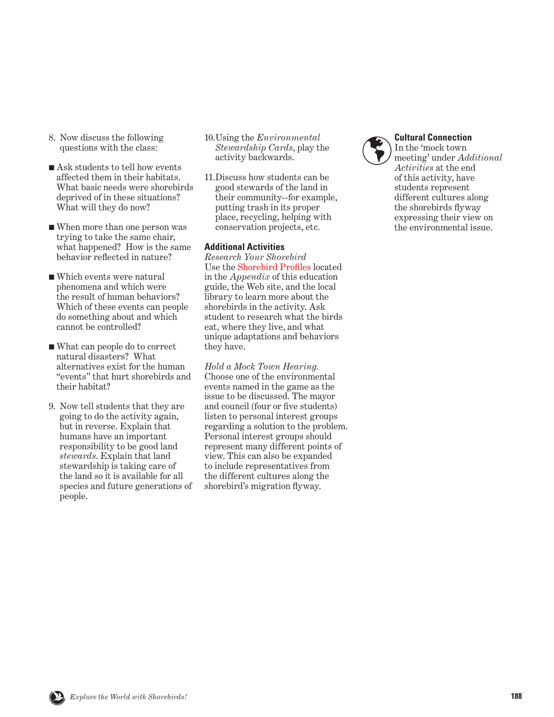- 8. Now discuss the following questions with the class:
- Ask students to tell how events affected them in their habitats. What basic needs were shorebirds deprived of in these situations? What will they do now?
- When more than one person was trying to take the same chair, what happened? How is the same behavior reflected in nature?
- Which events were natural phenomena and which were the result of human behaviors? Which of these events can people do something about and which cannot be controlled?
- What can people do to correct natural disasters? What alternatives exist for the human "events" that hurt shorebirds and their habitat?
- 9. Now tell students that they are going to do the activity again, but in reverse. Explain that humans have an important responsibility to be good land *stewards*. Explain that land stewardship is taking care of the land so it is available for all species and future generations of people.
- 10. Using the *Environmental Stewardship Cards*, play the activity backwards.
- 11. Discuss how students can be good stewards of the land in their community--for example, putting trash in its proper place, recycling, helping with conservation projects, etc.

#### **Additional Activities**

*Research Your Shorebird* Use the [Shorebird Profiles](#page-0-0) located in the *Appendix* of this education guide, the Web site, and the local library to learn more about the shorebirds in the activity. Ask student to research what the birds eat, where they live, and what unique adaptations and behaviors they have.

*Hold a Mock Town Hearing.*  Choose one of the environmental events named in the game as the issue to be discussed. The mayor and council (four or five students) listen to personal interest groups regarding a solution to the problem. Personal interest groups should represent many different points of view. This can also be expanded to include representatives from the different cultures along the shorebird's migration flyway.



#### **Cultural Connection**

In the 'mock town meeting' under *Additional Activities* at the end of this activity, have students represent different cultures along the shorebirds flyway expressing their view on the environmental issue.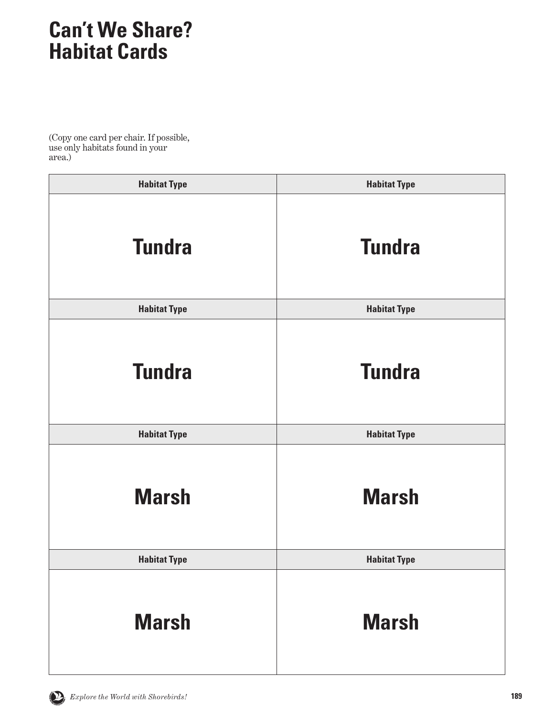## **Can't We Share? Habitat Cards**

(Copy one card per chair. If possible, use only habitats found in your area.)

| <b>Habitat Type</b> | <b>Habitat Type</b> |
|---------------------|---------------------|
| <b>Tundra</b>       | <b>Tundra</b>       |
| <b>Habitat Type</b> | <b>Habitat Type</b> |
| <b>Tundra</b>       | <b>Tundra</b>       |
| <b>Habitat Type</b> | <b>Habitat Type</b> |
| <b>Marsh</b>        | <b>Marsh</b>        |
| <b>Habitat Type</b> | <b>Habitat Type</b> |
| <b>Marsh</b>        | <b>Marsh</b>        |

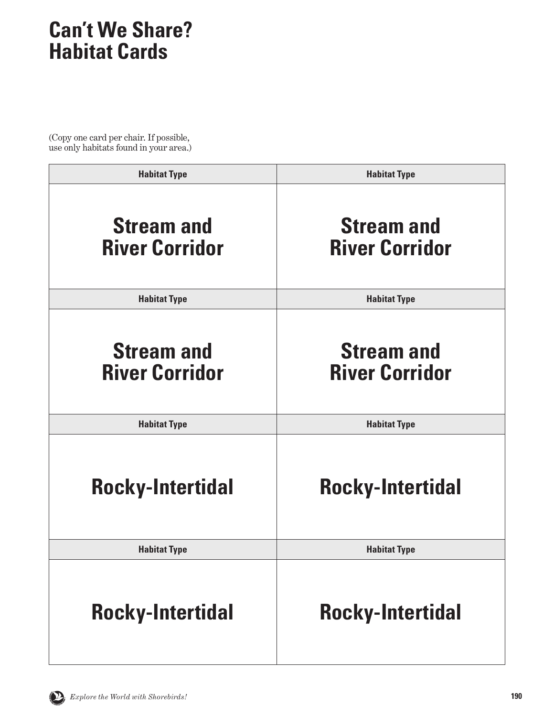## **Can't We Share? Habitat Cards**

(Copy one card per chair. If possible, use only habitats found in your area.)

| <b>Habitat Type</b>                        | <b>Habitat Type</b>                        |
|--------------------------------------------|--------------------------------------------|
| <b>Stream and</b><br><b>River Corridor</b> | <b>Stream and</b><br><b>River Corridor</b> |
| <b>Habitat Type</b>                        | <b>Habitat Type</b>                        |
| <b>Stream and</b><br><b>River Corridor</b> | <b>Stream and</b><br><b>River Corridor</b> |
| <b>Habitat Type</b>                        | <b>Habitat Type</b>                        |
| <b>Rocky-Intertidal</b>                    | <b>Rocky-Intertidal</b>                    |
| <b>Habitat Type</b>                        | <b>Habitat Type</b>                        |
| <b>Rocky-Intertidal</b>                    | <b>Rocky-Intertidal</b>                    |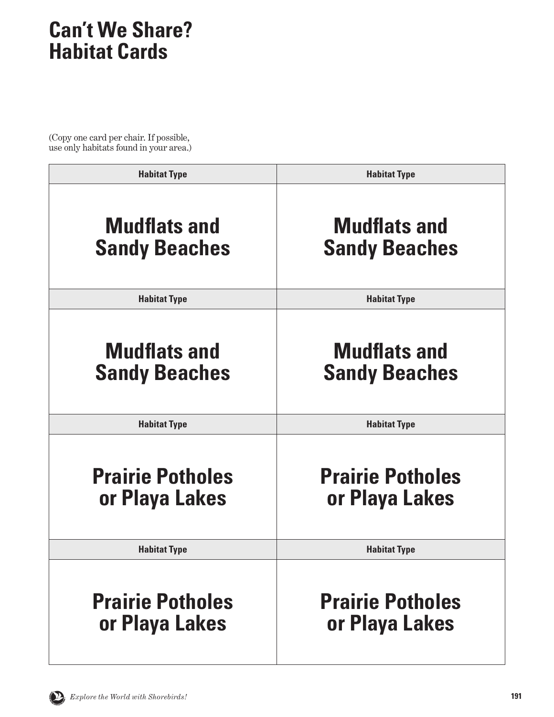## **Can't We Share? Habitat Cards**

(Copy one card per chair. If possible, use only habitats found in your area.)

| <b>Habitat Type</b>     | <b>Habitat Type</b>     |
|-------------------------|-------------------------|
| <b>Mudflats and</b>     | <b>Mudflats and</b>     |
| <b>Sandy Beaches</b>    | <b>Sandy Beaches</b>    |
| <b>Habitat Type</b>     | <b>Habitat Type</b>     |
| <b>Mudflats and</b>     | <b>Mudflats and</b>     |
| <b>Sandy Beaches</b>    | <b>Sandy Beaches</b>    |
| <b>Habitat Type</b>     | <b>Habitat Type</b>     |
| <b>Prairie Potholes</b> | <b>Prairie Potholes</b> |
| or Playa Lakes          | or Playa Lakes          |
| <b>Habitat Type</b>     | <b>Habitat Type</b>     |
| <b>Prairie Potholes</b> | <b>Prairie Potholes</b> |
| or Playa Lakes          | or Playa Lakes          |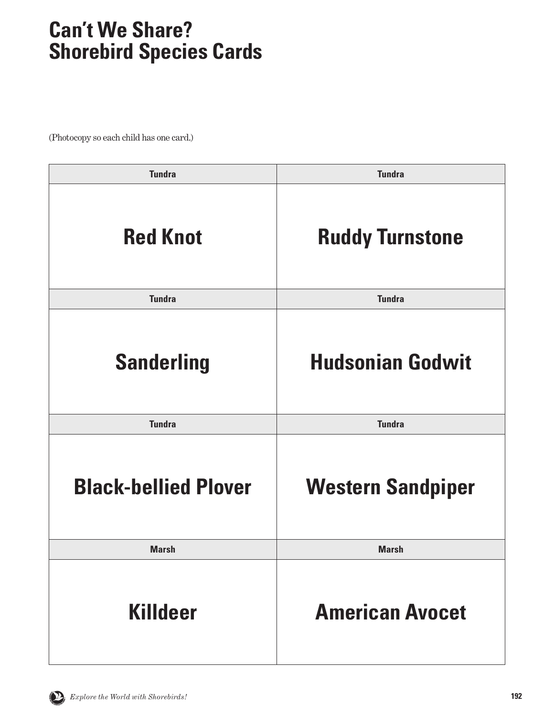| <b>Tundra</b>               | <b>Tundra</b>            |
|-----------------------------|--------------------------|
| <b>Red Knot</b>             | <b>Ruddy Turnstone</b>   |
| <b>Tundra</b>               | <b>Tundra</b>            |
| <b>Sanderling</b>           | <b>Hudsonian Godwit</b>  |
| <b>Tundra</b>               | <b>Tundra</b>            |
| <b>Black-bellied Plover</b> | <b>Western Sandpiper</b> |
| <b>Marsh</b>                | <b>Marsh</b>             |
| <b>Killdeer</b>             | <b>American Avocet</b>   |

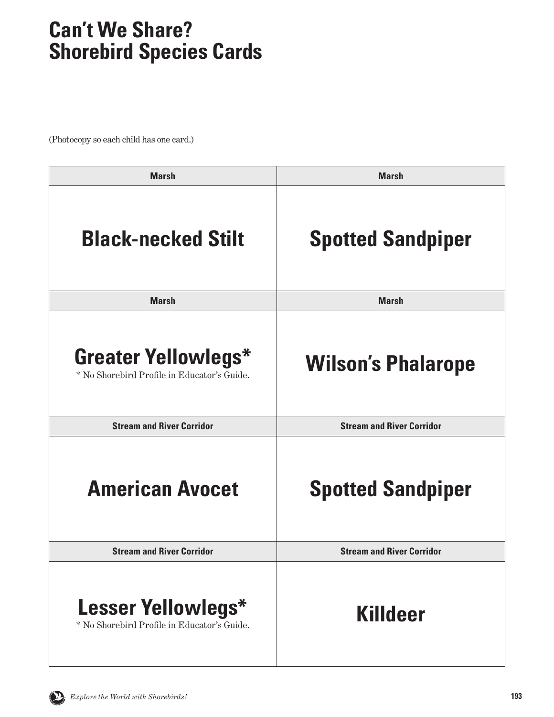| <b>Marsh</b>                                                              | <b>Marsh</b>                     |
|---------------------------------------------------------------------------|----------------------------------|
| <b>Black-necked Stilt</b>                                                 | <b>Spotted Sandpiper</b>         |
| <b>Marsh</b>                                                              | <b>Marsh</b>                     |
| <b>Greater Yellowlegs*</b><br>* No Shorebird Profile in Educator's Guide. | <b>Wilson's Phalarope</b>        |
| <b>Stream and River Corridor</b>                                          | <b>Stream and River Corridor</b> |
| <b>American Avocet</b>                                                    | <b>Spotted Sandpiper</b>         |
| <b>Stream and River Corridor</b>                                          | <b>Stream and River Corridor</b> |
| Lesser Yellowlegs*<br>* No Shorebird Profile in Educator's Guide.         | Killdeer                         |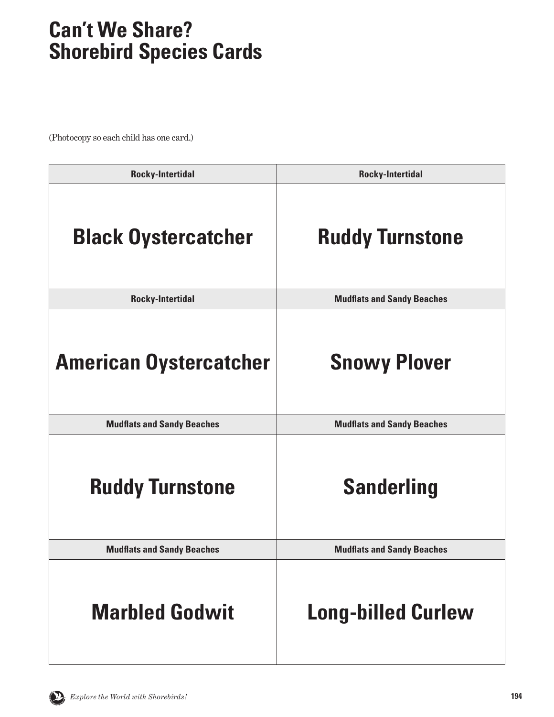| <b>Rocky-Intertidal</b>           | <b>Rocky-Intertidal</b>           |
|-----------------------------------|-----------------------------------|
| <b>Black Oystercatcher</b>        | <b>Ruddy Turnstone</b>            |
| <b>Rocky-Intertidal</b>           | <b>Mudflats and Sandy Beaches</b> |
| <b>American Oystercatcher</b>     | <b>Snowy Plover</b>               |
| <b>Mudflats and Sandy Beaches</b> | <b>Mudflats and Sandy Beaches</b> |
| <b>Ruddy Turnstone</b>            | <b>Sanderling</b>                 |
| <b>Mudflats and Sandy Beaches</b> | <b>Mudflats and Sandy Beaches</b> |
| <b>Marbled Godwit</b>             | <b>Long-billed Curlew</b>         |

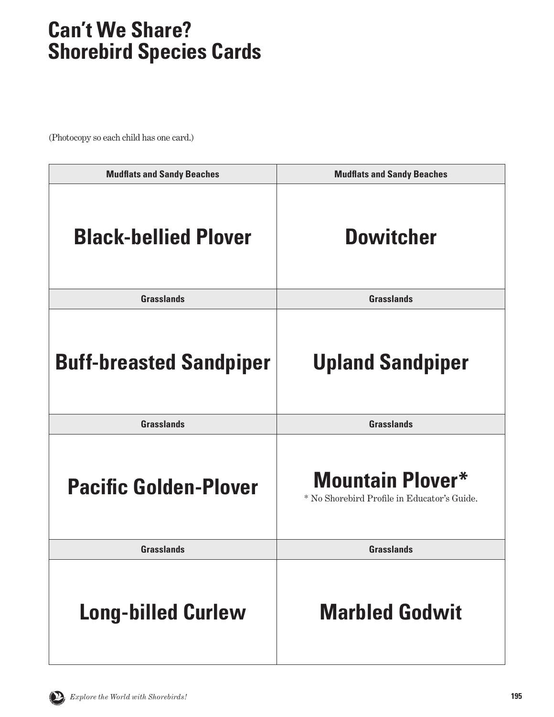<span id="page-9-0"></span>

| <b>Mudflats and Sandy Beaches</b> | <b>Mudflats and Sandy Beaches</b>                                      |
|-----------------------------------|------------------------------------------------------------------------|
| <b>Black-bellied Plover</b>       | <b>Dowitcher</b>                                                       |
| <b>Grasslands</b>                 | <b>Grasslands</b>                                                      |
| <b>Buff-breasted Sandpiper</b>    | <b>Upland Sandpiper</b>                                                |
| <b>Grasslands</b>                 | <b>Grasslands</b>                                                      |
| <b>Pacific Golden-Plover</b>      | <b>Mountain Plover*</b><br>* No Shorebird Profile in Educator's Guide. |
| <b>Grasslands</b>                 | <b>Grasslands</b>                                                      |
| <b>Long-billed Curlew</b>         | <b>Marbled Godwit</b>                                                  |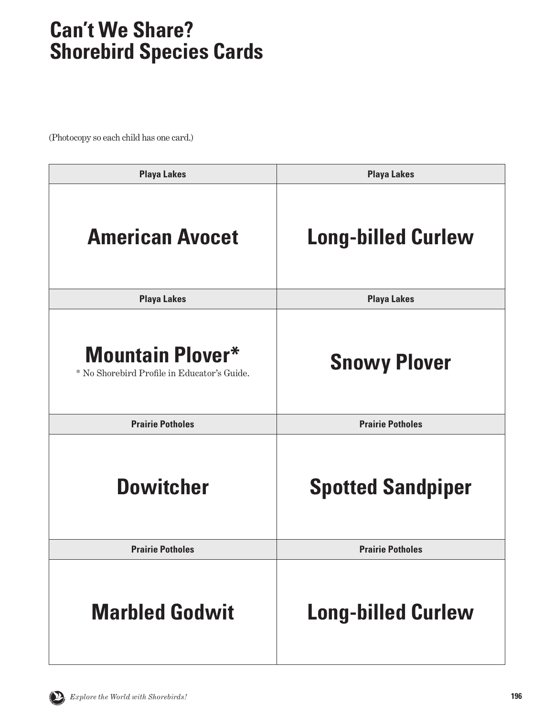| <b>Playa Lakes</b>                                                     | <b>Playa Lakes</b>        |
|------------------------------------------------------------------------|---------------------------|
| <b>American Avocet</b>                                                 | <b>Long-billed Curlew</b> |
| <b>Playa Lakes</b>                                                     | <b>Playa Lakes</b>        |
| <b>Mountain Plover*</b><br>* No Shorebird Profile in Educator's Guide. | <b>Snowy Plover</b>       |
| <b>Prairie Potholes</b>                                                | <b>Prairie Potholes</b>   |
| <b>Dowitcher</b>                                                       | <b>Spotted Sandpiper</b>  |
| <b>Prairie Potholes</b>                                                | <b>Prairie Potholes</b>   |
| <b>Marbled Godwit</b>                                                  | <b>Long-billed Curlew</b> |

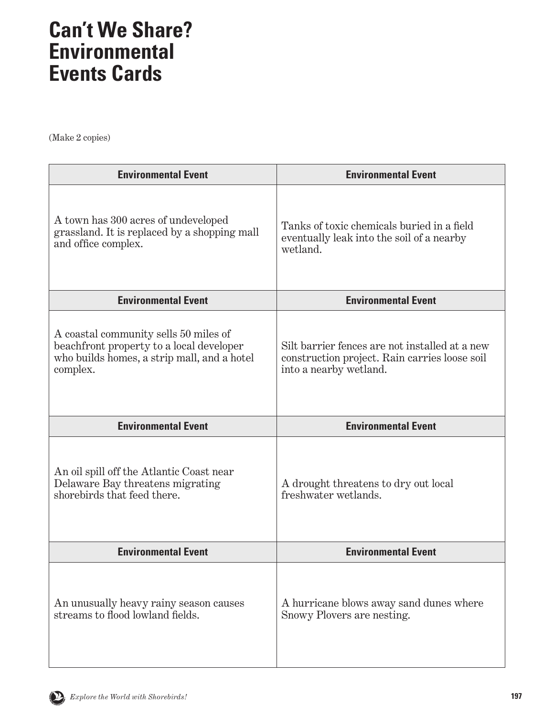(Make 2 copies)

| <b>Environmental Event</b>                                                                                                                   | <b>Environmental Event</b>                                                                                                |
|----------------------------------------------------------------------------------------------------------------------------------------------|---------------------------------------------------------------------------------------------------------------------------|
| A town has 300 acres of undeveloped<br>grassland. It is replaced by a shopping mall<br>and office complex.                                   | Tanks of toxic chemicals buried in a field<br>eventually leak into the soil of a nearby<br>wetland.                       |
| <b>Environmental Event</b>                                                                                                                   | <b>Environmental Event</b>                                                                                                |
| A coastal community sells 50 miles of<br>beachfront property to a local developer<br>who builds homes, a strip mall, and a hotel<br>complex. | Silt barrier fences are not installed at a new<br>construction project. Rain carries loose soil<br>into a nearby wetland. |
| <b>Environmental Event</b>                                                                                                                   | <b>Environmental Event</b>                                                                                                |
| An oil spill off the Atlantic Coast near<br>Delaware Bay threatens migrating<br>shorebirds that feed there.                                  | A drought threatens to dry out local<br>freshwater wetlands.                                                              |
| <b>Environmental Event</b>                                                                                                                   | <b>Environmental Event</b>                                                                                                |
| An unusually heavy rainy season causes<br>streams to flood lowland fields.                                                                   | A hurricane blows away sand dunes where<br>Snowy Plovers are nesting.                                                     |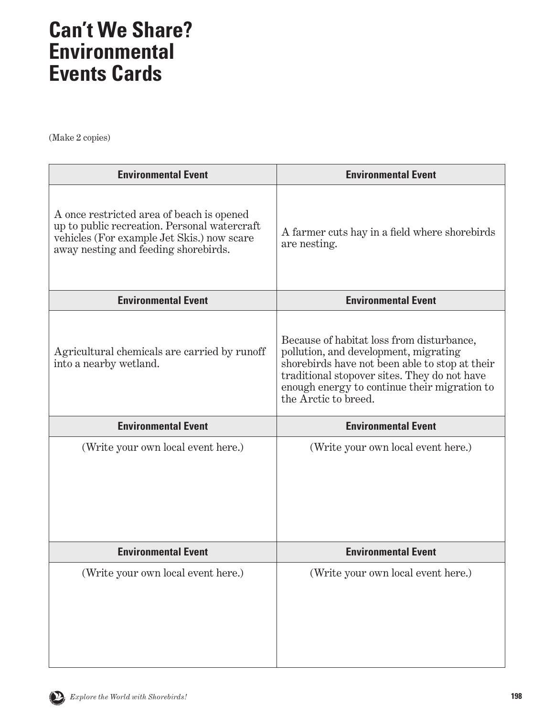(Make 2 copies)

| <b>Environmental Event</b>                                                                                                                                                      | <b>Environmental Event</b>                                                                                                                                                                                                                                   |
|---------------------------------------------------------------------------------------------------------------------------------------------------------------------------------|--------------------------------------------------------------------------------------------------------------------------------------------------------------------------------------------------------------------------------------------------------------|
| A once restricted area of beach is opened<br>up to public recreation. Personal watercraft<br>vehicles (For example Jet Skis.) now scare<br>away nesting and feeding shorebirds. | A farmer cuts hay in a field where shore birds<br>are nesting.                                                                                                                                                                                               |
| <b>Environmental Event</b>                                                                                                                                                      | <b>Environmental Event</b>                                                                                                                                                                                                                                   |
| Agricultural chemicals are carried by runoff<br>into a nearby wetland.                                                                                                          | Because of habitat loss from disturbance,<br>pollution, and development, migrating<br>shorebirds have not been able to stop at their<br>traditional stopover sites. They do not have<br>enough energy to continue their migration to<br>the Arctic to breed. |
| <b>Environmental Event</b>                                                                                                                                                      | <b>Environmental Event</b>                                                                                                                                                                                                                                   |
| (Write your own local event here.)                                                                                                                                              | (Write your own local event here.)                                                                                                                                                                                                                           |
| <b>Environmental Event</b>                                                                                                                                                      | <b>Environmental Event</b>                                                                                                                                                                                                                                   |
| (Write your own local event here.)                                                                                                                                              | (Write your own local event here.)                                                                                                                                                                                                                           |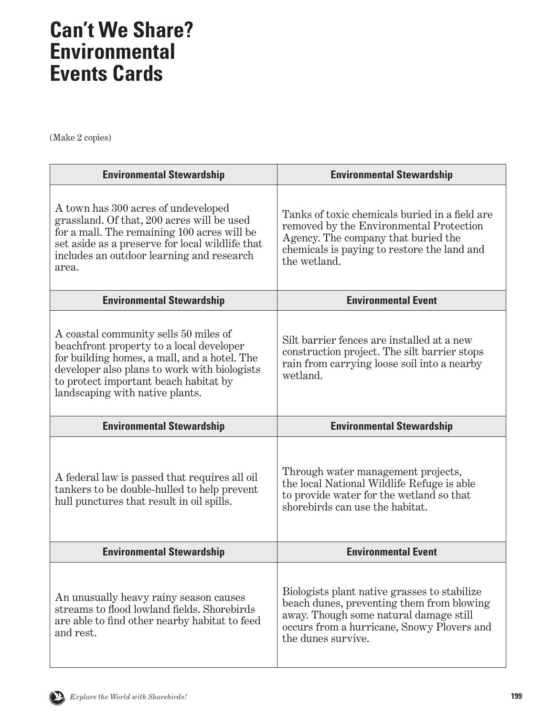(Make 2 copies)

| <b>Environmental Stewardship</b>                                                                                                                                                                                                                              | <b>Environmental Stewardship</b>                                                                                                                                                                |
|---------------------------------------------------------------------------------------------------------------------------------------------------------------------------------------------------------------------------------------------------------------|-------------------------------------------------------------------------------------------------------------------------------------------------------------------------------------------------|
| A town has 300 acres of undeveloped<br>grassland. Of that, 200 acres will be used<br>for a mall. The remaining 100 acres will be<br>set aside as a preserve for local wildlife that<br>includes an outdoor learning and research<br>area.                     | Tanks of toxic chemicals buried in a field are<br>removed by the Environmental Protection<br>Agency. The company that buried the<br>chemicals is paying to restore the land and<br>the wetland. |
| <b>Environmental Stewardship</b>                                                                                                                                                                                                                              | <b>Environmental Event</b>                                                                                                                                                                      |
| A coastal community sells 50 miles of<br>beachfront property to a local developer<br>for building homes, a mall, and a hotel. The<br>developer also plans to work with biologists<br>to protect important beach habitat by<br>landscaping with native plants. | Silt barrier fences are installed at a new<br>construction project. The silt barrier stops<br>rain from carrying loose soil into a nearby<br>wetland.                                           |
| <b>Environmental Stewardship</b>                                                                                                                                                                                                                              | <b>Environmental Stewardship</b>                                                                                                                                                                |
| A federal law is passed that requires all oil<br>tankers to be double-hulled to help prevent<br>hull punctures that result in oil spills.                                                                                                                     | Through water management projects,<br>the local National Wildlife Refuge is able<br>to provide water for the wetland so that<br>shorebirds can use the habitat.                                 |
| <b>Environmental Stewardship</b>                                                                                                                                                                                                                              | <b>Environmental Event</b>                                                                                                                                                                      |
|                                                                                                                                                                                                                                                               |                                                                                                                                                                                                 |